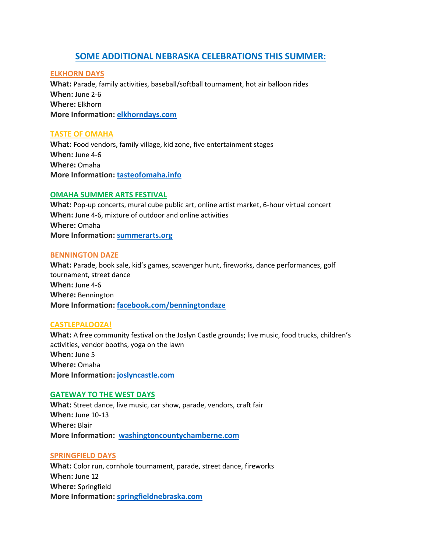# **SOME ADDITIONAL NEBRASKA CELEBRATIONS THIS SUMMER:**

# **ELKHORN DAYS**

**What:** Parade, family activities, baseball/softball tournament, hot air balloon rides **When:** June 2-6 **Where:** Elkhorn **More Information: [elkhorndays.com](http://elkhorndays.com/)**

# **TASTE OF OMAHA**

**What:** Food vendors, family village, kid zone, five entertainment stages **When:** June 4-6 **Where:** Omaha **More Information: [tasteofomaha.info](http://tasteofomaha.info/)**

# **OMAHA SUMMER ARTS FESTIVAL**

**What:** Pop-up concerts, mural cube public art, online artist market, 6-hour virtual concert **When:** June 4-6, mixture of outdoor and online activities **Where:** Omaha **More Information: [summerarts.org](http://summerarts.org/)**

# **BENNINGTON DAZE**

**What:** Parade, book sale, kid's games, scavenger hunt, fireworks, dance performances, golf tournament, street dance **When:** June 4-6 **Where:** Bennington **More Information: [facebook.com/benningtondaze](http://facebook.com/benningtondaze)**

# **CASTLEPALOOZA!**

**What:** A free community festival on the Joslyn Castle grounds; live music, food trucks, children's activities, vendor booths, yoga on the lawn **When:** June 5 **Where:** Omaha **More Information: [joslyncastle.com](http://joslyncastle.com/)**

# **GATEWAY TO THE WEST DAYS**

**What:** Street dance, live music, car show, parade, vendors, craft fair **When:** June 10-13 **Where:** Blair **More Information: [washingtoncountychamberne.com](http://washingtoncountychamberne.com/)**

# **SPRINGFIELD DAYS**

**What:** Color run, cornhole tournament, parade, street dance, fireworks **When:** June 12 **Where:** Springfield **More Information: [springfieldnebraska.com](http://springfieldnebraska.com/)**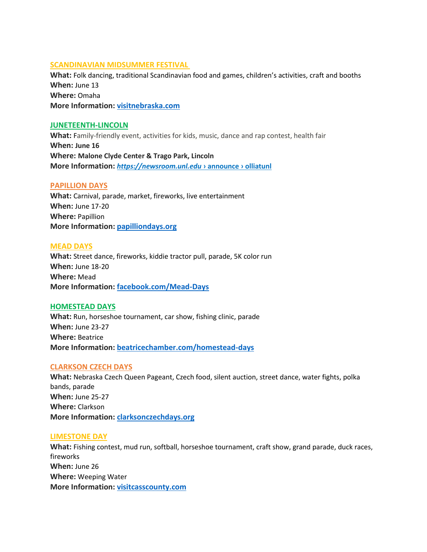# **SCANDINAVIAN MIDSUMMER FESTIVAL**

**What:** Folk dancing, traditional Scandinavian food and games, children's activities, craft and booths **When:** June 13 **Where:** Omaha **More Information: [visitnebraska.com](http://visitnebraska.com/)**

#### **JUNETEENTH-LINCOLN**

**What:** Family-friendly event, activities for kids, music, dance and rap contest, health fair **When: June 16 Where: Malone Clyde Center & Trago Park, Lincoln More Information:** *[https://newsroom.unl.edu](https://newsroom.unl.edu/announce/olliatunl/8160/46461)* **› announce › olliatunl**

## **PAPILLION DAYS**

**What:** Carnival, parade, market, fireworks, live entertainment **When:** June 17-20 **Where:** Papillion **More Information: [papilliondays.org](http://papilliondays.org/)**

#### **MEAD DAYS**

**What:** Street dance, fireworks, kiddie tractor pull, parade, 5K color run **When:** June 18-20 **Where:** Mead **More Information: [facebook.com/Mead-Days](http://facebook.com/Mead-Days)**

## **HOMESTEAD DAYS**

**What:** Run, horseshoe tournament, car show, fishing clinic, parade **When:** June 23-27 **Where:** Beatrice **More Information: [beatricechamber.com/homestead-days](http://beatricechamber.com/homestead-days)**

## **CLARKSON CZECH DAYS**

**What:** Nebraska Czech Queen Pageant, Czech food, silent auction, street dance, water fights, polka bands, parade **When:** June 25-27 **Where:** Clarkson **More Information: [clarksonczechdays.org](http://clarksonczechdays.org/)**

## **LIMESTONE DAY**

**What:** Fishing contest, mud run, softball, horseshoe tournament, craft show, grand parade, duck races, fireworks **When:** June 26 **Where:** Weeping Water **More Information: [visitcasscounty.com](http://visitcasscounty.com/)**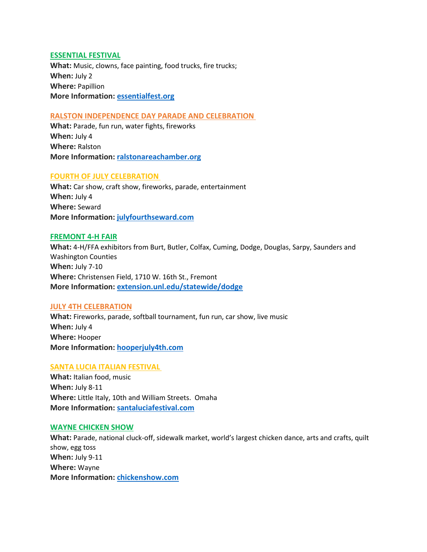# **ESSENTIAL FESTIVAL**

**What:** Music, clowns, face painting, food trucks, fire trucks; **When:** July 2 **Where:** Papillion **More Information: [essentialfest.org](http://essentialfest.org/)**

## **RALSTON INDEPENDENCE DAY PARADE AND CELEBRATION**

**What:** Parade, fun run, water fights, fireworks **When:** July 4 **Where:** Ralston **More Information: [ralstonareachamber.org](http://ralstonareachamber.org/)**

## **FOURTH OF JULY CELEBRATION**

**What:** Car show, craft show, fireworks, parade, entertainment **When:** July 4 **Where:** Seward **More Information: [julyfourthseward.com](http://julyfourthseward.com/)**

## **FREMONT 4-H FAIR**

**What:** 4-H/FFA exhibitors from Burt, Butler, Colfax, Cuming, Dodge, Douglas, Sarpy, Saunders and Washington Counties **When:** July 7-10 **Where:** Christensen Field, 1710 W. 16th St., Fremont **More Information: [extension.unl.edu/statewide/dodge](http://www.extension.unl.edu/statewide/dodge/frfourhexhguide)**

## **JULY 4TH CELEBRATION**

**What:** Fireworks, parade, softball tournament, fun run, car show, live music **When:** July 4 **Where:** Hooper **More Information: [hooperjuly4th.com](http://hooperjuly4th.com/)**

## **SANTA LUCIA ITALIAN FESTIVAL**

**What:** Italian food, music **When:** July 8-11 **Where:** Little Italy, 10th and William Streets. Omaha **More Information: [santaluciafestival.com](http://santaluciafestival.com/)**

## **WAYNE CHICKEN SHOW**

**What:** Parade, national cluck-off, sidewalk market, world's largest chicken dance, arts and crafts, quilt show, egg toss **When:** July 9-11 **Where:** Wayne **More Information: [chickenshow.com](http://chickenshow.com/)**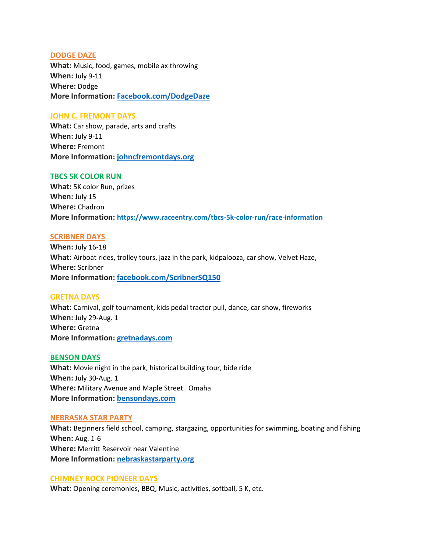## **DODGE DAZE**

**What:** Music, food, games, mobile ax throwing **When:** July 9-11 **Where:** Dodge **More Information: [Facebook.com/DodgeDaze](http://facebook.com/DodgeDaze)**

## **JOHN C. FREMONT DAYS**

**What:** Car show, parade, arts and crafts **When:** July 9-11 **Where:** Fremont **More Information: [johncfremontdays.org](http://johncfremontdays.org/)**

## **TBCS 5K COLOR RUN**

**What:** 5K color Run, prizes **When:** July 15 **Where:** Chadron **More Information: https://www.raceentry.com/tbcs-5k-color-run/race-information**

## **SCRIBNER DAYS**

**When:** July 16-18 **What:** Airboat rides, trolley tours, jazz in the park, kidpalooza, car show, Velvet Haze, **Where:** Scribner **More Information: [facebook.com/ScribnerSQ150](http://facebook.com/ScribnerSQ150)**

## **GRETNA DAYS**

**What:** Carnival, golf tournament, kids pedal tractor pull, dance, car show, fireworks **When:** July 29-Aug. 1 **Where:** Gretna **More Information: [gretnadays.com](http://gretnadays.com/)**

## **BENSON DAYS**

**What:** Movie night in the park, historical building tour, bide ride **When:** July 30-Aug. 1 **Where:** Military Avenue and Maple Street. Omaha **More Information: [bensondays.com](http://bensondays.com/)**

## **NEBRASKA STAR PARTY**

**What:** Beginners field school, camping, stargazing, opportunities for swimming, boating and fishing **When:** Aug. 1-6 **Where:** Merritt Reservoir near Valentine **More Information: [nebraskastarparty.org](http://nebraskastarparty.org/)**

## **CHIMNEY ROCK PIONEER DAYS**

**What:** Opening ceremonies, BBQ, Music, activities, softball, 5 K, etc.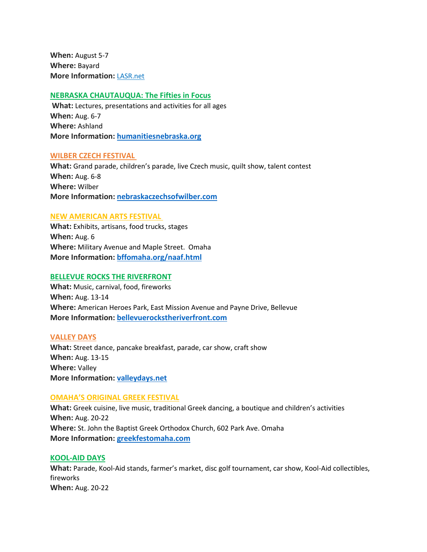**When:** August 5-7 **Where:** Bayard **More Information:** [LASR.net](http://www.lasr.net/travel/city.php?Chimney+Rock+Pioneer+Days&TravelTo=ne0706001&VE=Y&Event_ID=NE0706001e002)

# **NEBRASKA CHAUTAUQUA: The Fifties in Focus**

**What:** Lectures, presentations and activities for all ages **When:** Aug. 6-7 **Where:** Ashland **More Information: [humanitiesnebraska.org](http://humanitiesnebraska.org/)**

#### **WILBER CZECH FESTIVAL**

**What:** Grand parade, children's parade, live Czech music, quilt show, talent contest **When:** Aug. 6-8 **Where:** Wilber **More Information: [nebraskaczechsofwilber.com](http://nebraskaczechsofwilber.com/)**

# **NEW AMERICAN ARTS FESTIVAL**

**What:** Exhibits, artisans, food trucks, stages **When:** Aug. 6 **Where:** Military Avenue and Maple Street. Omaha **More Information: [bffomaha.org/naaf.html](http://bffomaha.org/naaf.html)**

## **BELLEVUE ROCKS THE RIVERFRONT**

**What:** Music, carnival, food, fireworks **When:** Aug. 13-14 **Where:** American Heroes Park, East Mission Avenue and Payne Drive, Bellevue **More Information: [bellevuerockstheriverfront.com](http://bellevuerockstheriverfront.com/)**

#### **VALLEY DAYS**

**What:** Street dance, pancake breakfast, parade, car show, craft show **When:** Aug. 13-15 **Where:** Valley **More Information: [valleydays.net](http://valleydays.net/)**

#### **OMAHA'S ORIGINAL GREEK FESTIVAL**

**What:** Greek cuisine, live music, traditional Greek dancing, a boutique and children's activities **When:** Aug. 20-22 **Where:** St. John the Baptist Greek Orthodox Church, 602 Park Ave. Omaha **More Information: [greekfestomaha.com](http://greekfestomaha.com/)**

## **KOOL-AID DAYS**

**What:** Parade, Kool-Aid stands, farmer's market, disc golf tournament, car show, Kool-Aid collectibles, fireworks **When:** Aug. 20-22